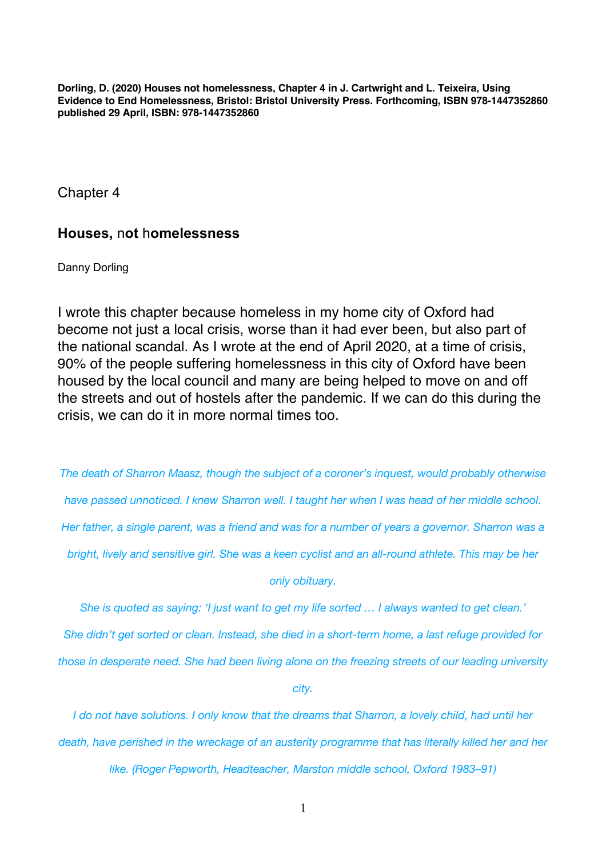**Dorling, D. (2020) Houses not homelessness, Chapter 4 in J. Cartwright and L. Teixeira, Using Evidence to End Homelessness, Bristol: Bristol University Press. Forthcoming, ISBN 978-1447352860 published 29 April, ISBN: 978-1447352860**

Chapter 4

## **Houses,** n**ot** h**omelessness**

Danny Dorling

I wrote this chapter because homeless in my home city of Oxford had become not just a local crisis, worse than it had ever been, but also part of the national scandal. As I wrote at the end of April 2020, at a time of crisis, 90% of the people suffering homelessness in this city of Oxford have been housed by the local council and many are being helped to move on and off the streets and out of hostels after the pandemic. If we can do this during the crisis, we can do it in more normal times too.

*The death of Sharron Maasz, though the subject of a coroner's inquest, would probably otherwise have passed unnoticed. I knew Sharron well. I taught her when I was head of her middle school.* Her father, a single parent, was a friend and was for a number of years a governor. Sharron was a bright, lively and sensitive girl. She was a keen cyclist and an all-round athlete. This may be her

*only obituary.*

She is quoted as saying: 'I just want to get my life sorted ... I always wanted to get clean.'

*She didn't get sorted or clean. Instead, she died in a short-term home, a last refuge provided for*

*those in desperate need. She had been living alone on the freezing streets of our leading university*

*city.*

I do not have solutions. I only know that the dreams that Sharron, a lovely child, had until her *death, have perished in the wreckage of an austerity programme that has literally killed her and her*

*like. (Roger Pepworth, Headteacher, Marston middle school, Oxford 1983–91)*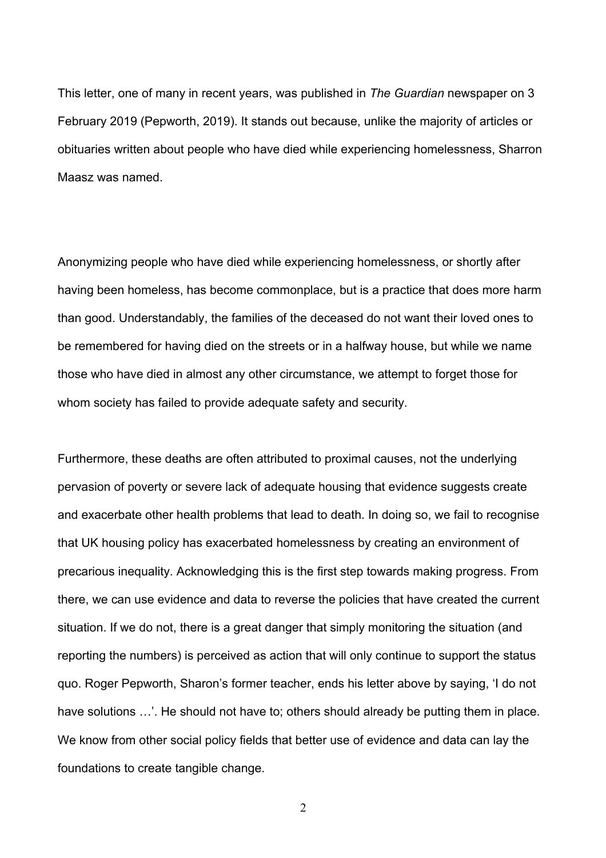This letter, one of many in recent years, was published in *The Guardian* newspaper on 3 February 2019 (Pepworth, 2019). It stands out because, unlike the majority of articles or obituaries written about people who have died while experiencing homelessness, Sharron Maasz was named.

Anonymizing people who have died while experiencing homelessness, or shortly after having been homeless, has become commonplace, but is a practice that does more harm than good. Understandably, the families of the deceased do not want their loved ones to be remembered for having died on the streets or in a halfway house, but while we name those who have died in almost any other circumstance, we attempt to forget those for whom society has failed to provide adequate safety and security.

Furthermore, these deaths are often attributed to proximal causes, not the underlying pervasion of poverty or severe lack of adequate housing that evidence suggests create and exacerbate other health problems that lead to death. In doing so, we fail to recognise that UK housing policy has exacerbated homelessness by creating an environment of precarious inequality. Acknowledging this is the first step towards making progress. From there, we can use evidence and data to reverse the policies that have created the current situation. If we do not, there is a great danger that simply monitoring the situation (and reporting the numbers) is perceived as action that will only continue to support the status quo. Roger Pepworth, Sharon's former teacher, ends his letter above by saying, 'I do not have solutions ...'. He should not have to; others should already be putting them in place. We know from other social policy fields that better use of evidence and data can lay the foundations to create tangible change.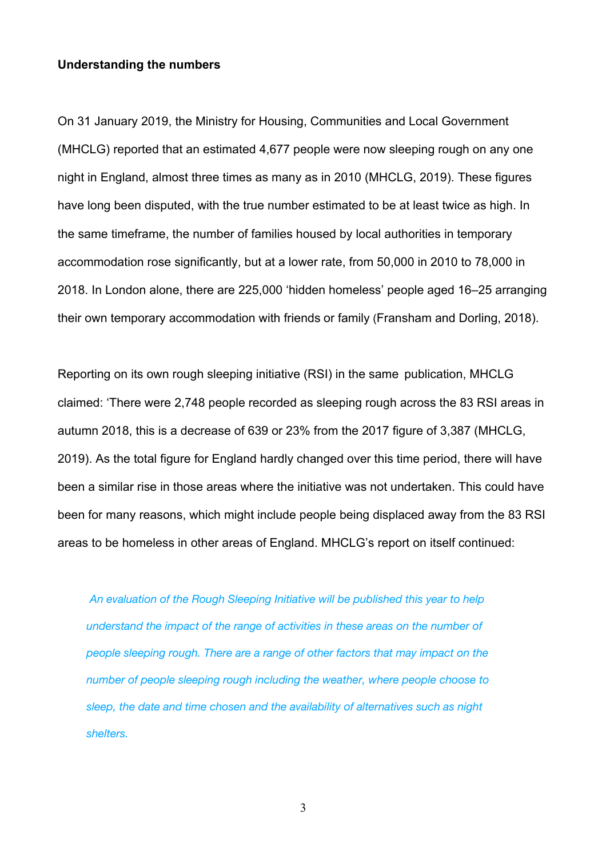### **Understanding the numbers**

On 31 January 2019, the Ministry for Housing, Communities and Local Government (MHCLG) reported that an estimated 4,677 people were now sleeping rough on any one night in England, almost three times as many as in 2010 (MHCLG, 2019). These figures have long been disputed, with the true number estimated to be at least twice as high. In the same timeframe, the number of families housed by local authorities in temporary accommodation rose significantly, but at a lower rate, from 50,000 in 2010 to 78,000 in 2018. In London alone, there are 225,000 'hidden homeless' people aged 16–25 arranging their own temporary accommodation with friends or family (Fransham and Dorling, 2018).

Reporting on its own rough sleeping initiative (RSI) in the same publication, MHCLG claimed: 'There were 2,748 people recorded as sleeping rough across the 83 RSI areas in autumn 2018, this is a decrease of 639 or 23% from the 2017 figure of 3,387 (MHCLG, 2019). As the total figure for England hardly changed over this time period, there will have been a similar rise in those areas where the initiative was not undertaken. This could have been for many reasons, which might include people being displaced away from the 83 RSI areas to be homeless in other areas of England. MHCLG's report on itself continued:

*An evaluation of the Rough Sleeping Initiative will be published this year to help understand the impact of the range of activities in these areas on the number of people sleeping rough. There are a range of other factors that may impact on the number of people sleeping rough including the weather, where people choose to sleep, the date and time chosen and the availability of alternatives such as night shelters.*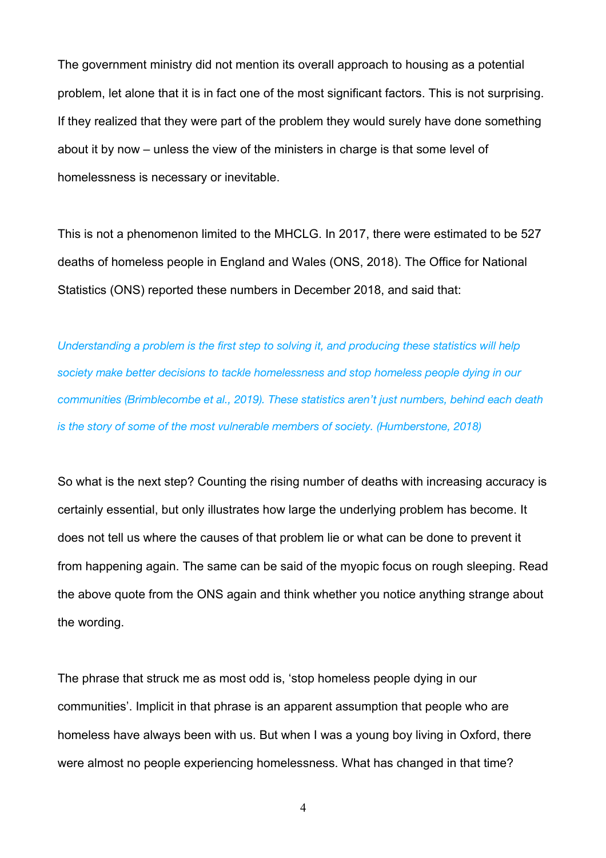The government ministry did not mention its overall approach to housing as a potential problem, let alone that it is in fact one of the most significant factors. This is not surprising. If they realized that they were part of the problem they would surely have done something about it by now – unless the view of the ministers in charge is that some level of homelessness is necessary or inevitable.

This is not a phenomenon limited to the MHCLG. In 2017, there were estimated to be 527 deaths of homeless people in England and Wales (ONS, 2018). The Office for National Statistics (ONS) reported these numbers in December 2018, and said that:

*Understanding a problem is the first step to solving it, and producing these statistics will help society make better decisions to tackle homelessness and stop homeless people dying in our communities (Brimblecombe et al., 2019). These statistics aren't just numbers, behind each death is the story of some of the most vulnerable members of society. (Humberstone, 2018)*

So what is the next step? Counting the rising number of deaths with increasing accuracy is certainly essential, but only illustrates how large the underlying problem has become. It does not tell us where the causes of that problem lie or what can be done to prevent it from happening again. The same can be said of the myopic focus on rough sleeping. Read the above quote from the ONS again and think whether you notice anything strange about the wording.

The phrase that struck me as most odd is, 'stop homeless people dying in our communities'. Implicit in that phrase is an apparent assumption that people who are homeless have always been with us. But when I was a young boy living in Oxford, there were almost no people experiencing homelessness. What has changed in that time?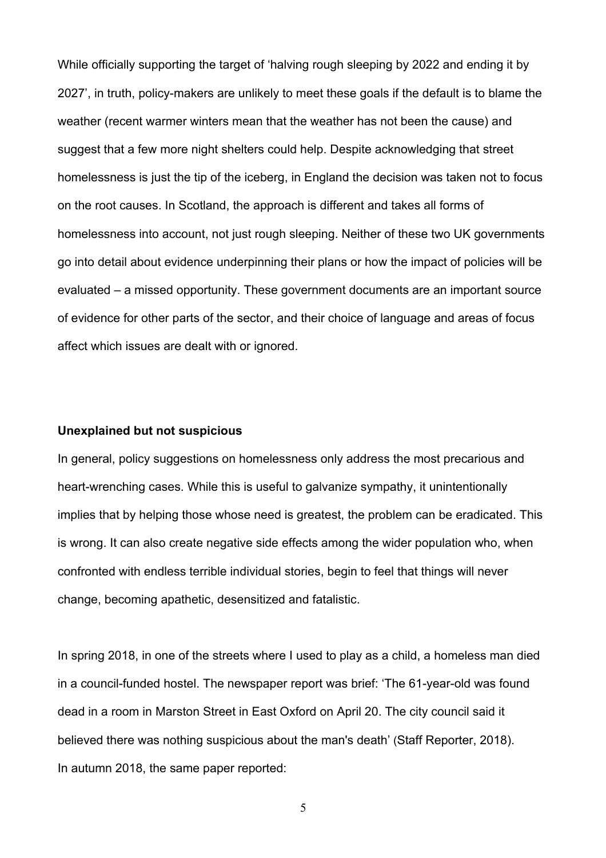While officially supporting the target of 'halving rough sleeping by 2022 and ending it by 2027', in truth, policy-makers are unlikely to meet these goals if the default is to blame the weather (recent warmer winters mean that the weather has not been the cause) and suggest that a few more night shelters could help. Despite acknowledging that street homelessness is just the tip of the iceberg, in England the decision was taken not to focus on the root causes. In Scotland, the approach is different and takes all forms of homelessness into account, not just rough sleeping. Neither of these two UK governments go into detail about evidence underpinning their plans or how the impact of policies will be evaluated – a missed opportunity. These government documents are an important source of evidence for other parts of the sector, and their choice of language and areas of focus affect which issues are dealt with or ignored.

## **Unexplained but not suspicious**

In general, policy suggestions on homelessness only address the most precarious and heart-wrenching cases. While this is useful to galvanize sympathy, it unintentionally implies that by helping those whose need is greatest, the problem can be eradicated. This is wrong. It can also create negative side effects among the wider population who, when confronted with endless terrible individual stories, begin to feel that things will never change, becoming apathetic, desensitized and fatalistic.

In spring 2018, in one of the streets where I used to play as a child, a homeless man died in a council-funded hostel. The newspaper report was brief: 'The 61-year-old was found dead in a room in Marston Street in East Oxford on April 20. The city council said it believed there was nothing suspicious about the man's death' (Staff Reporter, 2018). In autumn 2018, the same paper reported: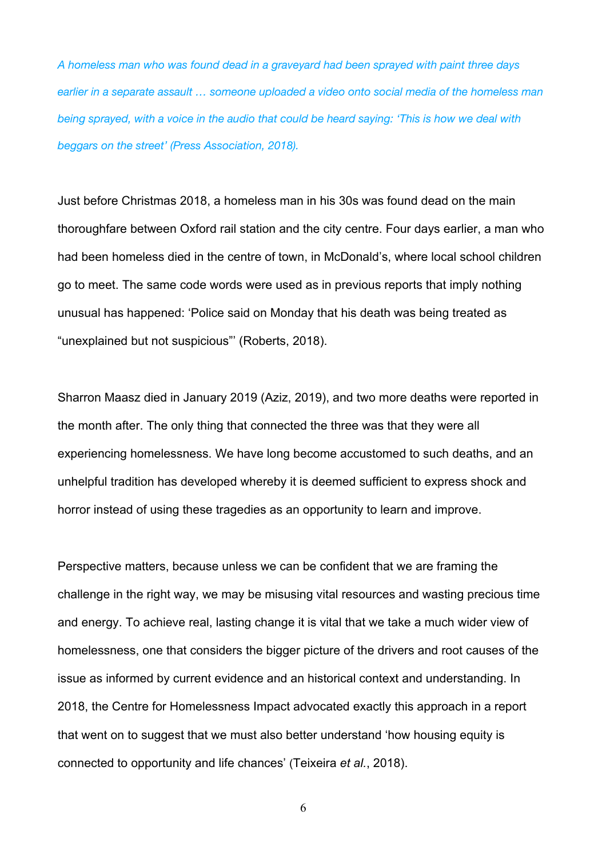*A homeless man who was found dead in a graveyard had been sprayed with paint three days earlier in a separate assault … someone uploaded a video onto social media of the homeless man* being sprayed, with a voice in the audio that could be heard saying: 'This is how we deal with *beggars on the street' (Press Association, 2018).*

Just before Christmas 2018, a homeless man in his 30s was found dead on the main thoroughfare between Oxford rail station and the city centre. Four days earlier, a man who had been homeless died in the centre of town, in McDonald's, where local school children go to meet. The same code words were used as in previous reports that imply nothing unusual has happened: 'Police said on Monday that his death was being treated as "unexplained but not suspicious"' (Roberts, 2018).

Sharron Maasz died in January 2019 (Aziz, 2019), and two more deaths were reported in the month after. The only thing that connected the three was that they were all experiencing homelessness. We have long become accustomed to such deaths, and an unhelpful tradition has developed whereby it is deemed sufficient to express shock and horror instead of using these tragedies as an opportunity to learn and improve.

Perspective matters, because unless we can be confident that we are framing the challenge in the right way, we may be misusing vital resources and wasting precious time and energy. To achieve real, lasting change it is vital that we take a much wider view of homelessness, one that considers the bigger picture of the drivers and root causes of the issue as informed by current evidence and an historical context and understanding. In 2018, the Centre for Homelessness Impact advocated exactly this approach in a report that went on to suggest that we must also better understand 'how housing equity is connected to opportunity and life chances' (Teixeira *et al.*, 2018).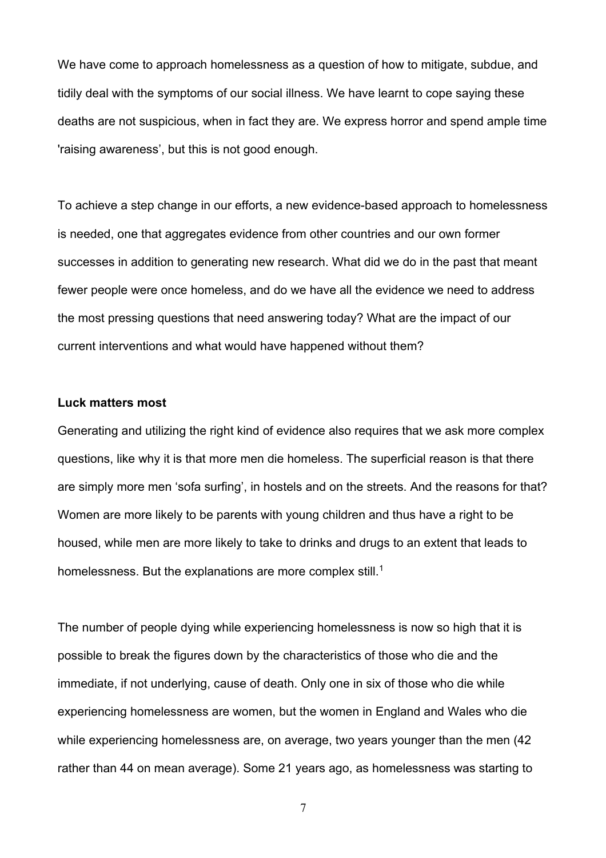We have come to approach homelessness as a question of how to mitigate, subdue, and tidily deal with the symptoms of our social illness. We have learnt to cope saying these deaths are not suspicious, when in fact they are. We express horror and spend ample time 'raising awareness', but this is not good enough.

To achieve a step change in our efforts, a new evidence-based approach to homelessness is needed, one that aggregates evidence from other countries and our own former successes in addition to generating new research. What did we do in the past that meant fewer people were once homeless, and do we have all the evidence we need to address the most pressing questions that need answering today? What are the impact of our current interventions and what would have happened without them?

## **Luck matters most**

Generating and utilizing the right kind of evidence also requires that we ask more complex questions, like why it is that more men die homeless. The superficial reason is that there are simply more men 'sofa surfing', in hostels and on the streets. And the reasons for that? Women are more likely to be parents with young children and thus have a right to be housed, while men are more likely to take to drinks and drugs to an extent that leads to homelessness. But the explanations are more complex still.<sup>1</sup>

The number of people dying while experiencing homelessness is now so high that it is possible to break the figures down by the characteristics of those who die and the immediate, if not underlying, cause of death. Only one in six of those who die while experiencing homelessness are women, but the women in England and Wales who die while experiencing homelessness are, on average, two years younger than the men (42 rather than 44 on mean average). Some 21 years ago, as homelessness was starting to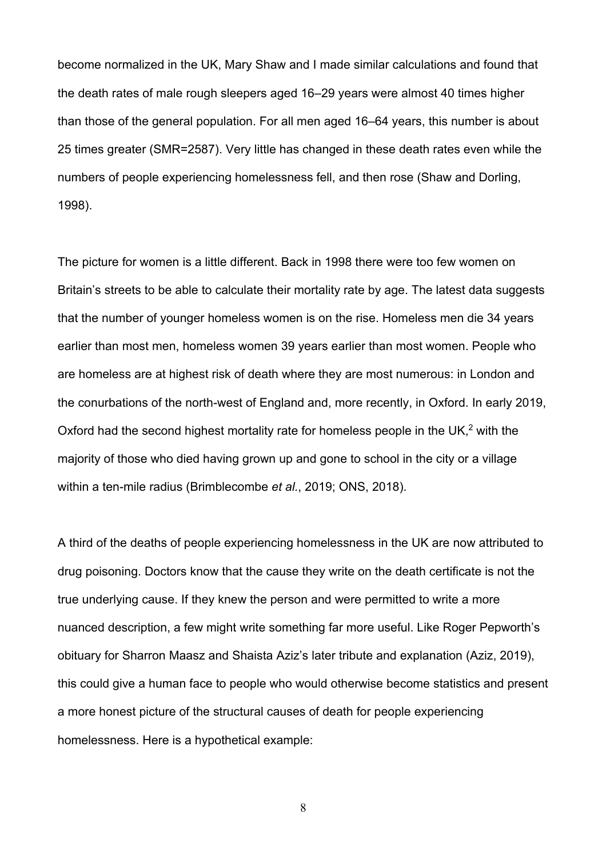become normalized in the UK, Mary Shaw and I made similar calculations and found that the death rates of male rough sleepers aged 16–29 years were almost 40 times higher than those of the general population. For all men aged 16–64 years, this number is about 25 times greater (SMR=2587). Very little has changed in these death rates even while the numbers of people experiencing homelessness fell, and then rose (Shaw and Dorling, 1998).

The picture for women is a little different. Back in 1998 there were too few women on Britain's streets to be able to calculate their mortality rate by age. The latest data suggests that the number of younger homeless women is on the rise. Homeless men die 34 years earlier than most men, homeless women 39 years earlier than most women. People who are homeless are at highest risk of death where they are most numerous: in London and the conurbations of the north-west of England and, more recently, in Oxford. In early 2019, Oxford had the second highest mortality rate for homeless people in the UK, $2$  with the majority of those who died having grown up and gone to school in the city or a village within a ten-mile radius (Brimblecombe *et al.*, 2019; ONS, 2018).

A third of the deaths of people experiencing homelessness in the UK are now attributed to drug poisoning. Doctors know that the cause they write on the death certificate is not the true underlying cause. If they knew the person and were permitted to write a more nuanced description, a few might write something far more useful. Like Roger Pepworth's obituary for Sharron Maasz and Shaista Aziz's later tribute and explanation (Aziz, 2019), this could give a human face to people who would otherwise become statistics and present a more honest picture of the structural causes of death for people experiencing homelessness. Here is a hypothetical example: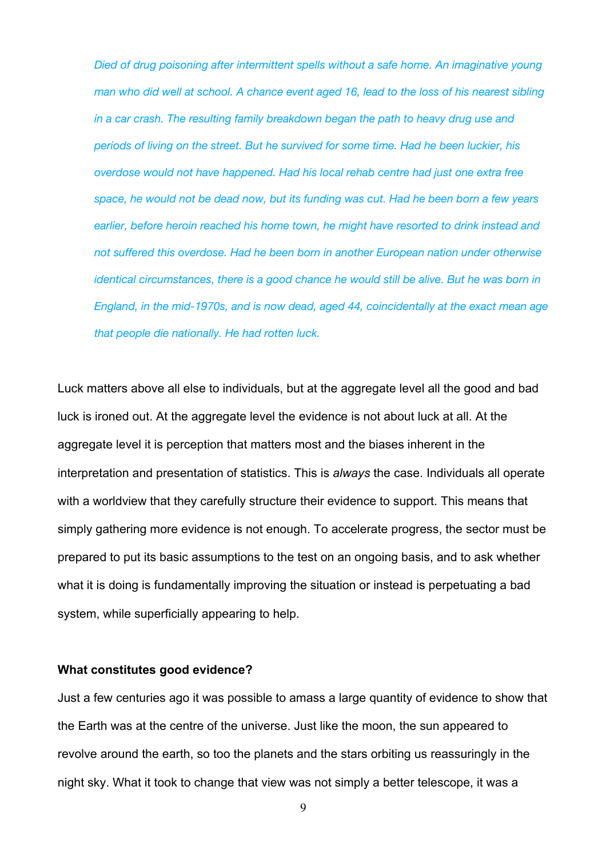*Died of drug poisoning after intermittent spells without a safe home. An imaginative young man who did well at school. A chance event aged 16, lead to the loss of his nearest sibling in a car crash. The resulting family breakdown began the path to heavy drug use and periods of living on the street. But he survived for some time. Had he been luckier, his overdose would not have happened. Had his local rehab centre had just one extra free space, he would not be dead now, but its funding was cut. Had he been born a few years earlier, before heroin reached his home town, he might have resorted to drink instead and not suffered this overdose. Had he been born in another European nation under otherwise identical circumstances, there is a good chance he would still be alive. But he was born in England, in the mid-1970s, and is now dead, aged 44, coincidentally at the exact mean age that people die nationally. He had rotten luck.*

Luck matters above all else to individuals, but at the aggregate level all the good and bad luck is ironed out. At the aggregate level the evidence is not about luck at all. At the aggregate level it is perception that matters most and the biases inherent in the interpretation and presentation of statistics. This is *always* the case. Individuals all operate with a worldview that they carefully structure their evidence to support. This means that simply gathering more evidence is not enough. To accelerate progress, the sector must be prepared to put its basic assumptions to the test on an ongoing basis, and to ask whether what it is doing is fundamentally improving the situation or instead is perpetuating a bad system, while superficially appearing to help.

#### **What constitutes good evidence?**

Just a few centuries ago it was possible to amass a large quantity of evidence to show that the Earth was at the centre of the universe. Just like the moon, the sun appeared to revolve around the earth, so too the planets and the stars orbiting us reassuringly in the night sky. What it took to change that view was not simply a better telescope, it was a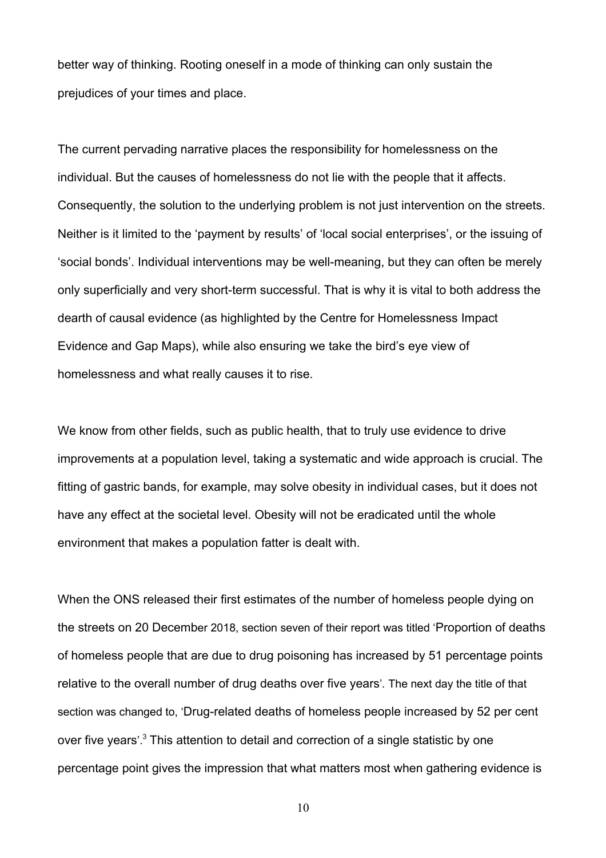better way of thinking. Rooting oneself in a mode of thinking can only sustain the prejudices of your times and place.

The current pervading narrative places the responsibility for homelessness on the individual. But the causes of homelessness do not lie with the people that it affects. Consequently, the solution to the underlying problem is not just intervention on the streets. Neither is it limited to the 'payment by results' of 'local social enterprises', or the issuing of 'social bonds'. Individual interventions may be well-meaning, but they can often be merely only superficially and very short-term successful. That is why it is vital to both address the dearth of causal evidence (as highlighted by the Centre for Homelessness Impact Evidence and Gap Maps), while also ensuring we take the bird's eye view of homelessness and what really causes it to rise.

We know from other fields, such as public health, that to truly use evidence to drive improvements at a population level, taking a systematic and wide approach is crucial. The fitting of gastric bands, for example, may solve obesity in individual cases, but it does not have any effect at the societal level. Obesity will not be eradicated until the whole environment that makes a population fatter is dealt with.

When the ONS released their first estimates of the number of homeless people dying on the streets on 20 December 2018, section seven of their report was titled 'Proportion of deaths of homeless people that are due to drug poisoning has increased by 51 percentage points relative to the overall number of drug deaths over five years'*.* The next day the title of that section was changed to, 'Drug-related deaths of homeless people increased by 52 per cent over five years'.<sup>3</sup> This attention to detail and correction of a single statistic by one percentage point gives the impression that what matters most when gathering evidence is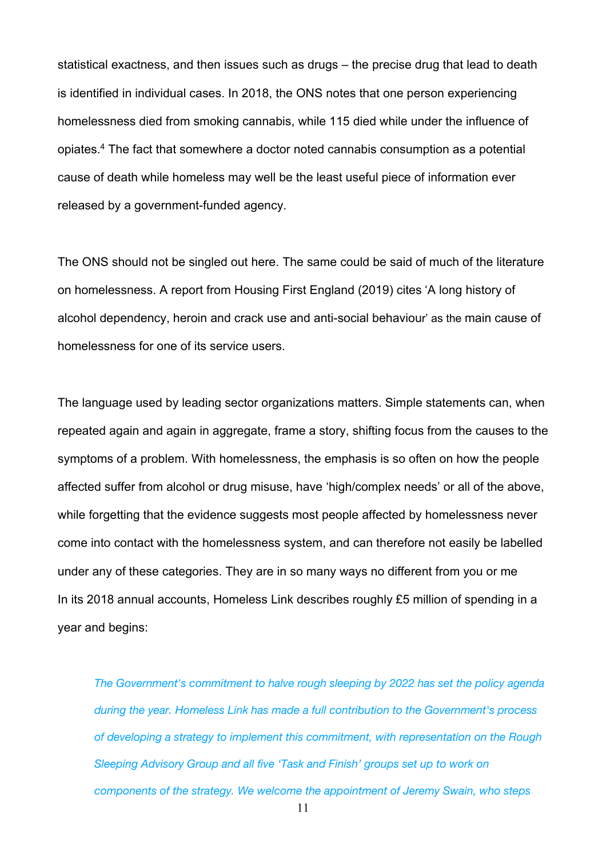statistical exactness, and then issues such as drugs – the precise drug that lead to death is identified in individual cases. In 2018, the ONS notes that one person experiencing homelessness died from smoking cannabis, while 115 died while under the influence of opiates.4 The fact that somewhere a doctor noted cannabis consumption as a potential cause of death while homeless may well be the least useful piece of information ever released by a government-funded agency.

The ONS should not be singled out here. The same could be said of much of the literature on homelessness. A report from Housing First England (2019) cites 'A long history of alcohol dependency, heroin and crack use and anti-social behaviour' as the main cause of homelessness for one of its service users.

The language used by leading sector organizations matters. Simple statements can, when repeated again and again in aggregate, frame a story, shifting focus from the causes to the symptoms of a problem. With homelessness, the emphasis is so often on how the people affected suffer from alcohol or drug misuse, have 'high/complex needs' or all of the above, while forgetting that the evidence suggests most people affected by homelessness never come into contact with the homelessness system, and can therefore not easily be labelled under any of these categories. They are in so many ways no different from you or me In its 2018 annual accounts, Homeless Link describes roughly £5 million of spending in a year and begins:

*The Government's commitment to halve rough sleeping by 2022 has set the policy agenda during the year. Homeless Link has made a full contribution to the Government's process of developing a strategy to implement this commitment, with representation on the Rough Sleeping Advisory Group and all five 'Task and Finish' groups set up to work on components of the strategy. We welcome the appointment of Jeremy Swain, who steps*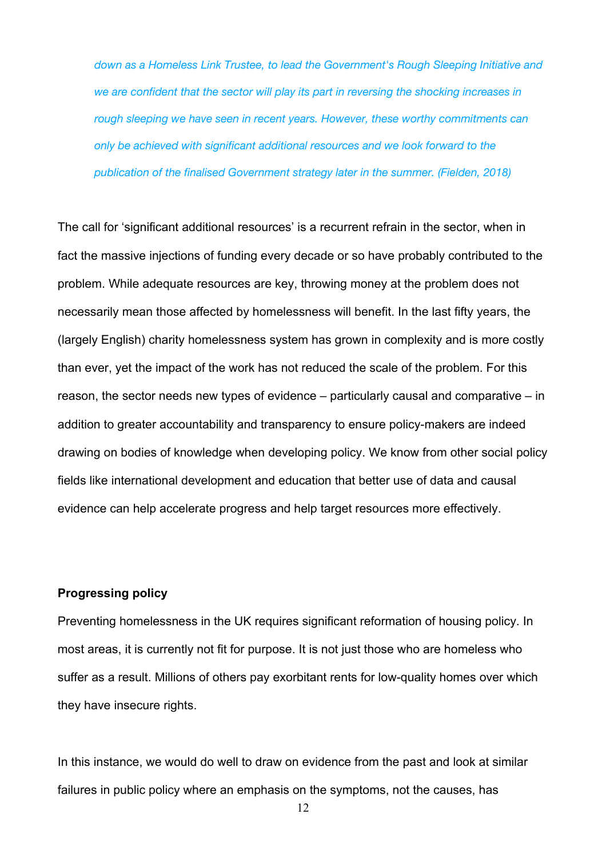*down as a Homeless Link Trustee, to lead the Government's Rough Sleeping Initiative and we are confident that the sector will play its part in reversing the shocking increases in rough sleeping we have seen in recent years. However, these worthy commitments can only be achieved with significant additional resources and we look forward to the publication of the finalised Government strategy later in the summer. (Fielden, 2018)*

The call for 'significant additional resources' is a recurrent refrain in the sector, when in fact the massive injections of funding every decade or so have probably contributed to the problem. While adequate resources are key, throwing money at the problem does not necessarily mean those affected by homelessness will benefit. In the last fifty years, the (largely English) charity homelessness system has grown in complexity and is more costly than ever, yet the impact of the work has not reduced the scale of the problem. For this reason, the sector needs new types of evidence – particularly causal and comparative – in addition to greater accountability and transparency to ensure policy-makers are indeed drawing on bodies of knowledge when developing policy. We know from other social policy fields like international development and education that better use of data and causal evidence can help accelerate progress and help target resources more effectively.

## **Progressing policy**

Preventing homelessness in the UK requires significant reformation of housing policy. In most areas, it is currently not fit for purpose. It is not just those who are homeless who suffer as a result. Millions of others pay exorbitant rents for low-quality homes over which they have insecure rights.

In this instance, we would do well to draw on evidence from the past and look at similar failures in public policy where an emphasis on the symptoms, not the causes, has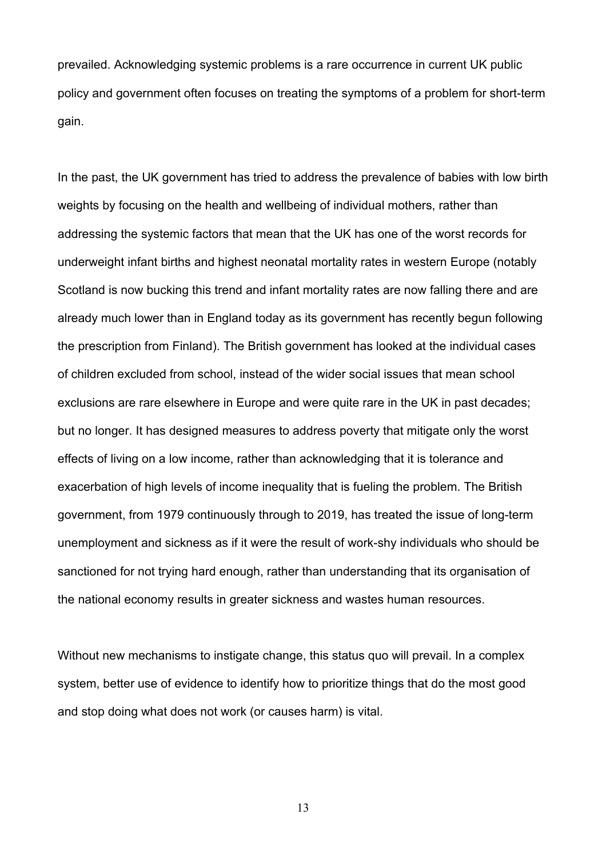prevailed. Acknowledging systemic problems is a rare occurrence in current UK public policy and government often focuses on treating the symptoms of a problem for short-term gain.

In the past, the UK government has tried to address the prevalence of babies with low birth weights by focusing on the health and wellbeing of individual mothers, rather than addressing the systemic factors that mean that the UK has one of the worst records for underweight infant births and highest neonatal mortality rates in western Europe (notably Scotland is now bucking this trend and infant mortality rates are now falling there and are already much lower than in England today as its government has recently begun following the prescription from Finland). The British government has looked at the individual cases of children excluded from school, instead of the wider social issues that mean school exclusions are rare elsewhere in Europe and were quite rare in the UK in past decades; but no longer. It has designed measures to address poverty that mitigate only the worst effects of living on a low income, rather than acknowledging that it is tolerance and exacerbation of high levels of income inequality that is fueling the problem. The British government, from 1979 continuously through to 2019, has treated the issue of long-term unemployment and sickness as if it were the result of work-shy individuals who should be sanctioned for not trying hard enough, rather than understanding that its organisation of the national economy results in greater sickness and wastes human resources.

Without new mechanisms to instigate change, this status quo will prevail. In a complex system, better use of evidence to identify how to prioritize things that do the most good and stop doing what does not work (or causes harm) is vital.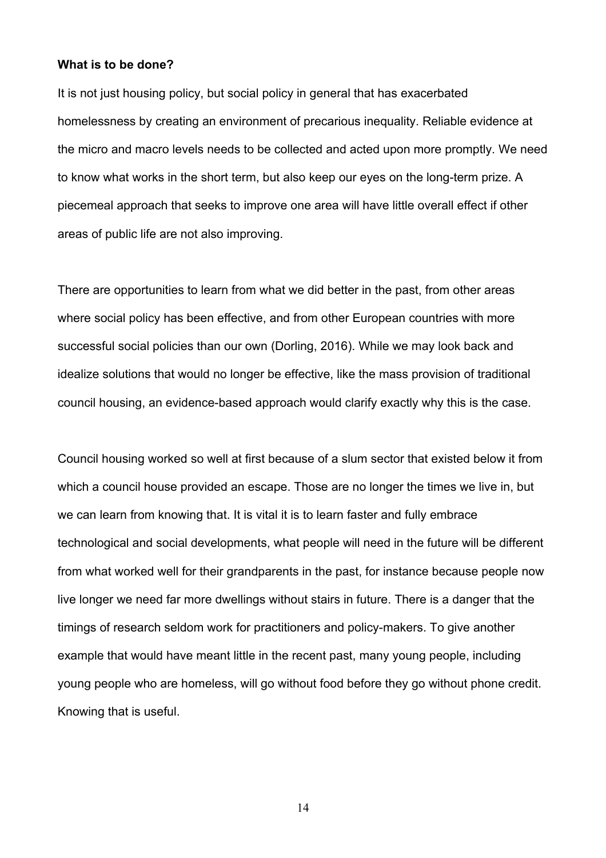## **What is to be done?**

It is not just housing policy, but social policy in general that has exacerbated homelessness by creating an environment of precarious inequality. Reliable evidence at the micro and macro levels needs to be collected and acted upon more promptly. We need to know what works in the short term, but also keep our eyes on the long-term prize. A piecemeal approach that seeks to improve one area will have little overall effect if other areas of public life are not also improving.

There are opportunities to learn from what we did better in the past, from other areas where social policy has been effective, and from other European countries with more successful social policies than our own (Dorling, 2016). While we may look back and idealize solutions that would no longer be effective, like the mass provision of traditional council housing, an evidence-based approach would clarify exactly why this is the case.

Council housing worked so well at first because of a slum sector that existed below it from which a council house provided an escape. Those are no longer the times we live in, but we can learn from knowing that. It is vital it is to learn faster and fully embrace technological and social developments, what people will need in the future will be different from what worked well for their grandparents in the past, for instance because people now live longer we need far more dwellings without stairs in future. There is a danger that the timings of research seldom work for practitioners and policy-makers. To give another example that would have meant little in the recent past, many young people, including young people who are homeless, will go without food before they go without phone credit. Knowing that is useful.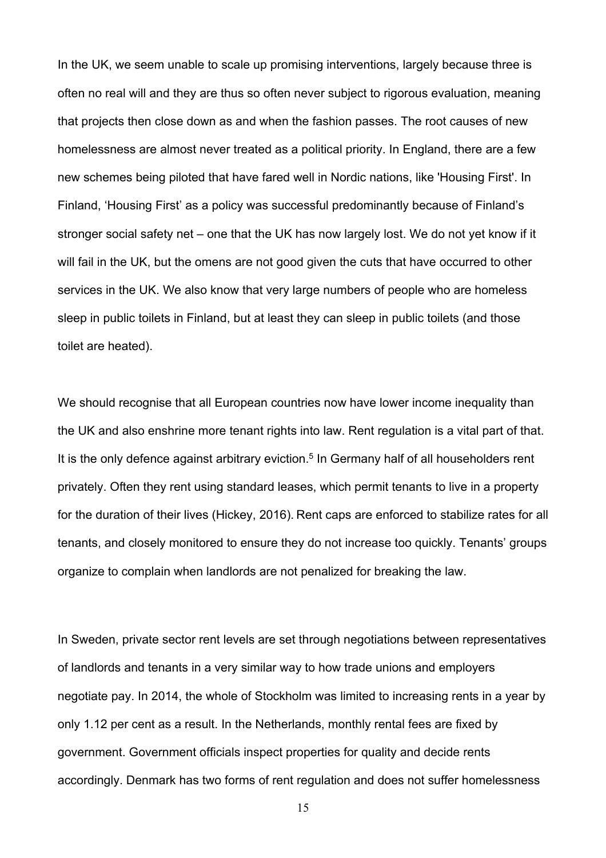In the UK, we seem unable to scale up promising interventions, largely because three is often no real will and they are thus so often never subject to rigorous evaluation, meaning that projects then close down as and when the fashion passes. The root causes of new homelessness are almost never treated as a political priority. In England, there are a few new schemes being piloted that have fared well in Nordic nations, like 'Housing First'. In Finland, 'Housing First' as a policy was successful predominantly because of Finland's stronger social safety net – one that the UK has now largely lost. We do not yet know if it will fail in the UK, but the omens are not good given the cuts that have occurred to other services in the UK. We also know that very large numbers of people who are homeless sleep in public toilets in Finland, but at least they can sleep in public toilets (and those toilet are heated).

We should recognise that all European countries now have lower income inequality than the UK and also enshrine more tenant rights into law. Rent regulation is a vital part of that. It is the only defence against arbitrary eviction.<sup>5</sup> In Germany half of all householders rent privately. Often they rent using standard leases, which permit tenants to live in a property for the duration of their lives (Hickey, 2016). Rent caps are enforced to stabilize rates for all tenants, and closely monitored to ensure they do not increase too quickly. Tenants' groups organize to complain when landlords are not penalized for breaking the law.

In Sweden, private sector rent levels are set through negotiations between representatives of landlords and tenants in a very similar way to how trade unions and employers negotiate pay. In 2014, the whole of Stockholm was limited to increasing rents in a year by only 1.12 per cent as a result. In the Netherlands, monthly rental fees are fixed by government. Government officials inspect properties for quality and decide rents accordingly. Denmark has two forms of rent regulation and does not suffer homelessness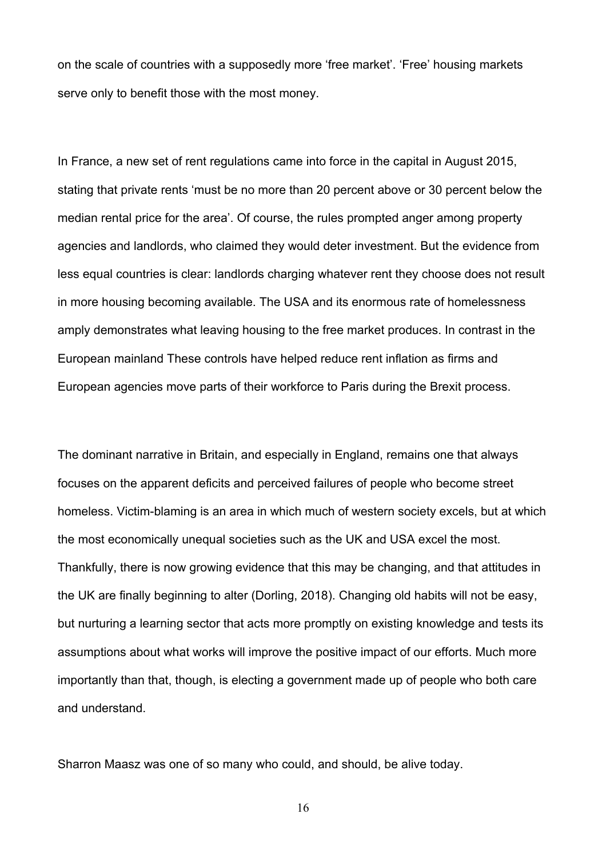on the scale of countries with a supposedly more 'free market'. 'Free' housing markets serve only to benefit those with the most money.

In France, a new set of rent regulations came into force in the capital in August 2015, stating that private rents 'must be no more than 20 percent above or 30 percent below the median rental price for the area'. Of course, the rules prompted anger among property agencies and landlords, who claimed they would deter investment. But the evidence from less equal countries is clear: landlords charging whatever rent they choose does not result in more housing becoming available. The USA and its enormous rate of homelessness amply demonstrates what leaving housing to the free market produces. In contrast in the European mainland These controls have helped reduce rent inflation as firms and European agencies move parts of their workforce to Paris during the Brexit process.

The dominant narrative in Britain, and especially in England, remains one that always focuses on the apparent deficits and perceived failures of people who become street homeless. Victim-blaming is an area in which much of western society excels, but at which the most economically unequal societies such as the UK and USA excel the most. Thankfully, there is now growing evidence that this may be changing, and that attitudes in the UK are finally beginning to alter (Dorling, 2018). Changing old habits will not be easy, but nurturing a learning sector that acts more promptly on existing knowledge and tests its assumptions about what works will improve the positive impact of our efforts. Much more importantly than that, though, is electing a government made up of people who both care and understand.

Sharron Maasz was one of so many who could, and should, be alive today.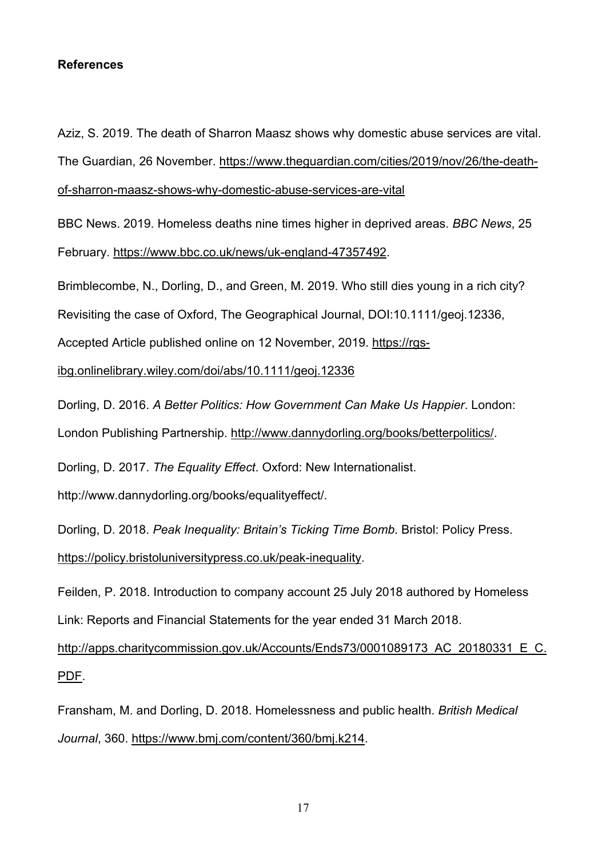## **References**

Aziz, S. 2019. The death of Sharron Maasz shows why domestic abuse services are vital. The Guardian, 26 November. https://www.theguardian.com/cities/2019/nov/26/the-deathof-sharron-maasz-shows-why-domestic-abuse-services-are-vital

BBC News. 2019. Homeless deaths nine times higher in deprived areas. *BBC News*, 25 February. https://www.bbc.co.uk/news/uk-england-47357492.

Brimblecombe, N., Dorling, D., and Green, M. 2019. Who still dies young in a rich city?

Revisiting the case of Oxford, The Geographical Journal, DOI:10.1111/geoj.12336,

Accepted Article published online on 12 November, 2019. https://rgs-

ibg.onlinelibrary.wiley.com/doi/abs/10.1111/geoj.12336

Dorling, D. 2016. *A Better Politics: How Government Can Make Us Happier*. London: London Publishing Partnership. http://www.dannydorling.org/books/betterpolitics/.

Dorling, D. 2017. *The Equality Effect*. Oxford: New Internationalist.

http://www.dannydorling.org/books/equalityeffect/.

Dorling, D. 2018. *Peak Inequality: Britain's Ticking Time Bomb*. Bristol: Policy Press. https://policy.bristoluniversitypress.co.uk/peak-inequality.

Feilden, P. 2018. Introduction to company account 25 July 2018 authored by Homeless Link: Reports and Financial Statements for the year ended 31 March 2018.

http://apps.charitycommission.gov.uk/Accounts/Ends73/0001089173\_AC\_20180331\_E\_C. PDF.

Fransham, M. and Dorling, D. 2018. Homelessness and public health. *British Medical Journal*, 360. https://www.bmj.com/content/360/bmj.k214.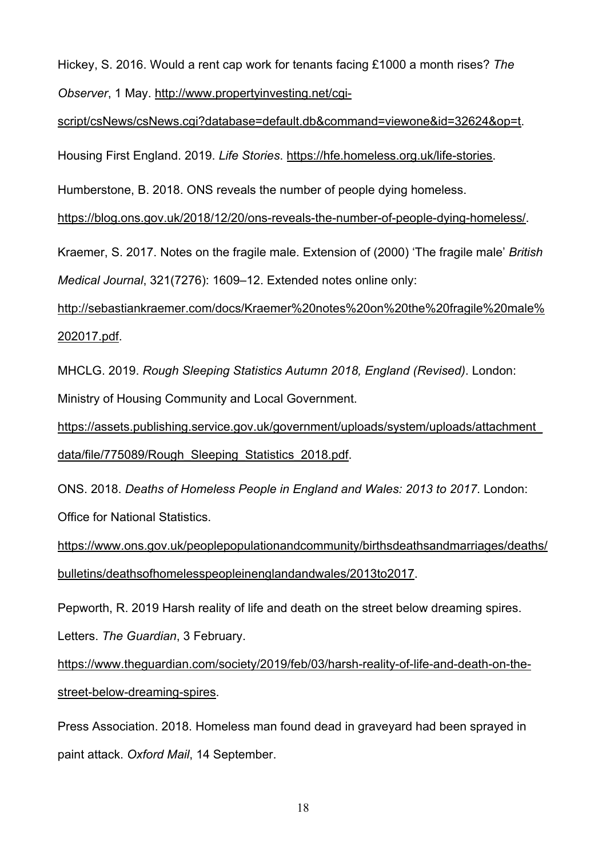Hickey, S. 2016. Would a rent cap work for tenants facing £1000 a month rises? *The Observer*, 1 May. http://www.propertyinvesting.net/cgi-

script/csNews/csNews.cgi?database=default.db&command=viewone&id=32624&op=t.

Housing First England. 2019. *Life Stories*. https://hfe.homeless.org.uk/life-stories.

Humberstone, B. 2018. ONS reveals the number of people dying homeless.

https://blog.ons.gov.uk/2018/12/20/ons-reveals-the-number-of-people-dying-homeless/.

Kraemer, S. 2017. Notes on the fragile male. Extension of (2000) 'The fragile male' *British Medical Journal*, 321(7276): 1609–12. Extended notes online only:

http://sebastiankraemer.com/docs/Kraemer%20notes%20on%20the%20fragile%20male% 202017.pdf.

MHCLG. 2019. *Rough Sleeping Statistics Autumn 2018, England (Revised)*. London: Ministry of Housing Community and Local Government.

https://assets.publishing.service.gov.uk/government/uploads/system/uploads/attachment\_ data/file/775089/Rough\_Sleeping\_Statistics\_2018.pdf.

ONS. 2018. *Deaths of Homeless People in England and Wales: 2013 to 2017*. London: Office for National Statistics.

https://www.ons.gov.uk/peoplepopulationandcommunity/birthsdeathsandmarriages/deaths/ bulletins/deathsofhomelesspeopleinenglandandwales/2013to2017.

Pepworth, R. 2019 Harsh reality of life and death on the street below dreaming spires.

Letters. *The Guardian*, 3 February.

https://www.theguardian.com/society/2019/feb/03/harsh-reality-of-life-and-death-on-thestreet-below-dreaming-spires.

Press Association. 2018. Homeless man found dead in graveyard had been sprayed in paint attack. *Oxford Mail*, 14 September.